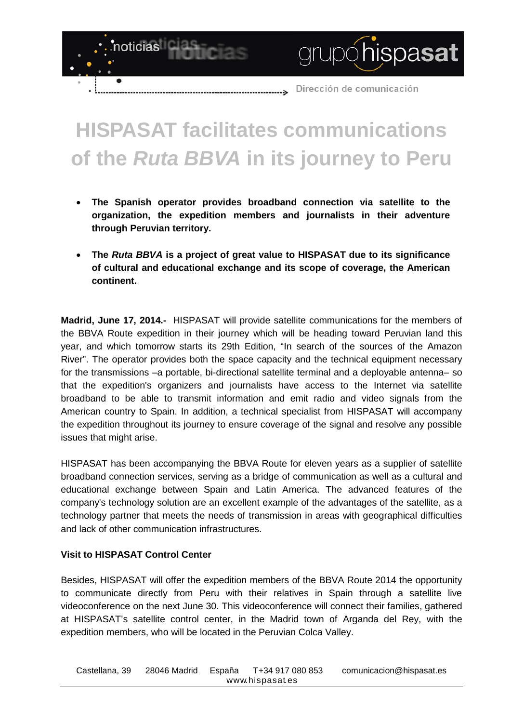

grupóhispasat

## **HISPASAT facilitates communications of the** *Ruta BBVA* **in its journey to Peru**

- **The Spanish operator provides broadband connection via satellite to the organization, the expedition members and journalists in their adventure through Peruvian territory.**
- **The** *Ruta BBVA* **is a project of great value to HISPASAT due to its significance of cultural and educational exchange and its scope of coverage, the American continent.**

**Madrid, June 17, 2014.-** HISPASAT will provide satellite communications for the members of the BBVA Route expedition in their journey which will be heading toward Peruvian land this year, and which tomorrow starts its 29th Edition, "In search of the sources of the Amazon River". The operator provides both the space capacity and the technical equipment necessary for the transmissions –a portable, bi-directional satellite terminal and a deployable antenna– so that the expedition's organizers and journalists have access to the Internet via satellite broadband to be able to transmit information and emit radio and video signals from the American country to Spain. In addition, a technical specialist from HISPASAT will accompany the expedition throughout its journey to ensure coverage of the signal and resolve any possible issues that might arise.

HISPASAT has been accompanying the BBVA Route for eleven years as a supplier of satellite broadband connection services, serving as a bridge of communication as well as a cultural and educational exchange between Spain and Latin America. The advanced features of the company's technology solution are an excellent example of the advantages of the satellite, as a technology partner that meets the needs of transmission in areas with geographical difficulties and lack of other communication infrastructures.

## **Visit to HISPASAT Control Center**

noticias

 $\bullet$ 

Besides, HISPASAT will offer the expedition members of the BBVA Route 2014 the opportunity to communicate directly from Peru with their relatives in Spain through a satellite live videoconference on the next June 30. This videoconference will connect their families, gathered at HISPASAT's satellite control center, in the Madrid town of Arganda del Rey, with the expedition members, who will be located in the Peruvian Colca Valley.